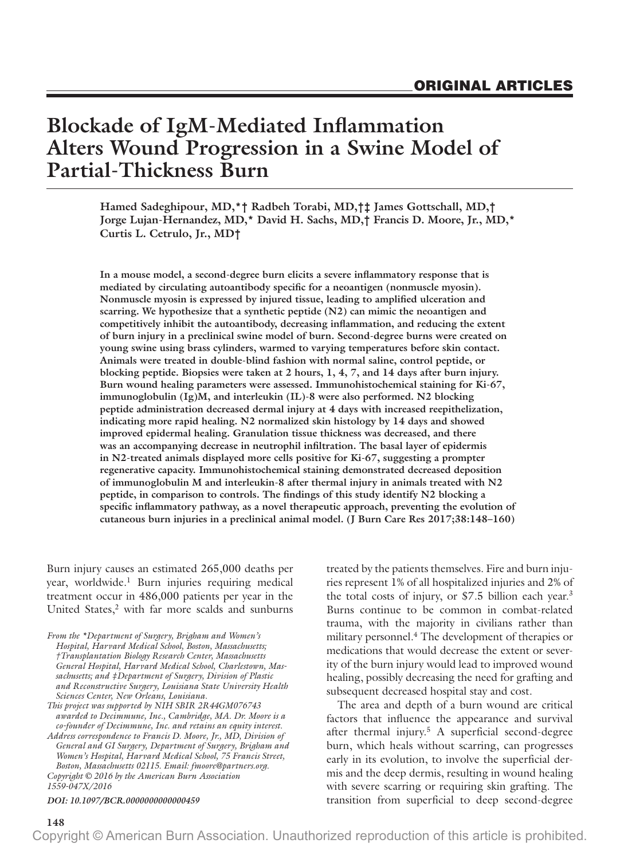# **Blockade of IgM-Mediated Inflammation Alters Wound Progression in a Swine Model of Partial-Thickness Burn**

**Hamed Sadeghipour, MD,\*† Radbeh Torabi, MD,†‡ James Gottschall, MD,† Jorge Lujan-Hernandez, MD,\* David H. Sachs, MD,† Francis D. Moore, Jr., MD,\* Curtis L. Cetrulo, Jr., MD†**

**In a mouse model, a second-degree burn elicits a severe inflammatory response that is mediated by circulating autoantibody specific for a neoantigen (nonmuscle myosin). Nonmuscle myosin is expressed by injured tissue, leading to amplified ulceration and scarring. We hypothesize that a synthetic peptide (N2) can mimic the neoantigen and competitively inhibit the autoantibody, decreasing inflammation, and reducing the extent of burn injury in a preclinical swine model of burn. Second-degree burns were created on young swine using brass cylinders, warmed to varying temperatures before skin contact. Animals were treated in double-blind fashion with normal saline, control peptide, or blocking peptide. Biopsies were taken at 2 hours, 1, 4, 7, and 14 days after burn injury. Burn wound healing parameters were assessed. Immunohistochemical staining for Ki-67, immunoglobulin (Ig)M, and interleukin (IL)-8 were also performed. N2 blocking peptide administration decreased dermal injury at 4 days with increased reepithelization, indicating more rapid healing. N2 normalized skin histology by 14 days and showed improved epidermal healing. Granulation tissue thickness was decreased, and there was an accompanying decrease in neutrophil infiltration. The basal layer of epidermis in N2-treated animals displayed more cells positive for Ki-67, suggesting a prompter regenerative capacity. Immunohistochemical staining demonstrated decreased deposition of immunoglobulin M and interleukin-8 after thermal injury in animals treated with N2 peptide, in comparison to controls. The findings of this study identify N2 blocking a specific inflammatory pathway, as a novel therapeutic approach, preventing the evolution of cutaneous burn injuries in a preclinical animal model. (J Burn Care Res 2017;38:148–160)**

Burn injury causes an estimated 265,000 deaths per year, worldwide.<sup>1</sup> Burn injuries requiring medical treatment occur in 486,000 patients per year in the United States,<sup>2</sup> with far more scalds and sunburns

*From the \*Department of Surgery, Brigham and Women's Hospital, Harvard Medical School, Boston, Massachusetts; †Transplantation Biology Research Center, Massachusetts General Hospital, Harvard Medical School, Charlestown, Massachusetts; and ‡Department of Surgery, Division of Plastic and Reconstructive Surgery, Louisiana State University Health Sciences Center, New Orleans, Louisiana.*

*Copyright © 2016 by the American Burn Association General and GI Surgery, Department of Surgery, Brigham and Women's Hospital, Harvard Medical School, 75 Francis Street, Boston, Massachusetts 02115. Email: [fmoore@partners.org](mailto:fmoore@partners.org).*

*1559-047X/2016*

#### *DOI: 10.1097/BCR.0000000000000459*

treated by the patients themselves. Fire and burn injuries represent 1% of all hospitalized injuries and 2% of the total costs of injury, or \$7.5 billion each year.<sup>3</sup> Burns continue to be common in combat-related trauma, with the majority in civilians rather than military personnel.<sup>4</sup> The development of therapies or medications that would decrease the extent or severity of the burn injury would lead to improved wound healing, possibly decreasing the need for grafting and subsequent decreased hospital stay and cost.

The area and depth of a burn wound are critical factors that influence the appearance and survival after thermal injury.5 A superficial second-degree burn, which heals without scarring, can progresses early in its evolution, to involve the superficial dermis and the deep dermis, resulting in wound healing with severe scarring or requiring skin grafting. The transition from superficial to deep second-degree

*This project was supported by NIH SBIR 2R44GM076743 awarded to Decimmune, Inc., Cambridge, MA. Dr. Moore is a co-founder of Decimmune, Inc. and retains an equity interest. Address correspondence to Francis D. Moore, Jr., MD, Division of*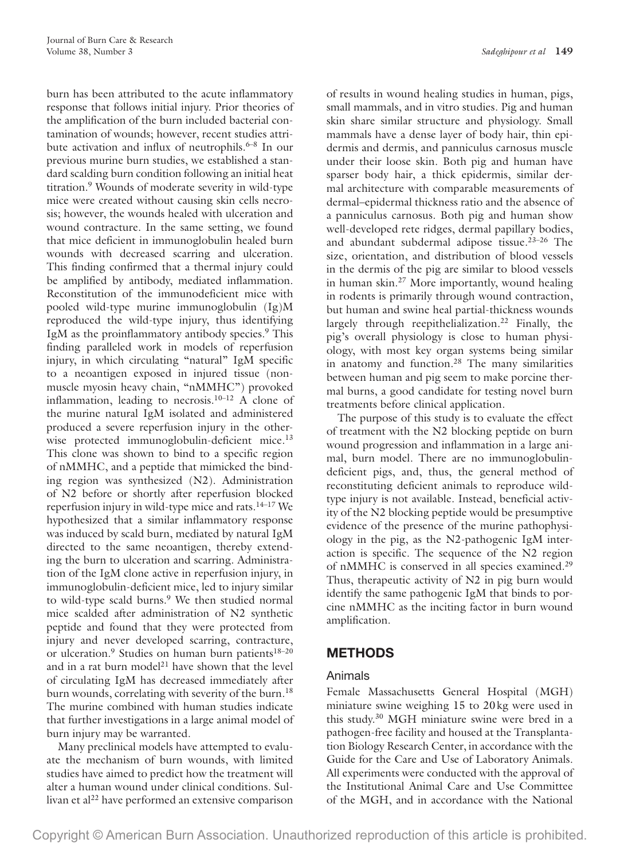burn has been attributed to the acute inflammatory response that follows initial injury. Prior theories of the amplification of the burn included bacterial contamination of wounds; however, recent studies attribute activation and influx of neutrophils.<sup>6–8</sup> In our previous murine burn studies, we established a standard scalding burn condition following an initial heat titration.9 Wounds of moderate severity in wild-type mice were created without causing skin cells necrosis; however, the wounds healed with ulceration and wound contracture. In the same setting, we found that mice deficient in immunoglobulin healed burn wounds with decreased scarring and ulceration. This finding confirmed that a thermal injury could be amplified by antibody, mediated inflammation. Reconstitution of the immunodeficient mice with pooled wild-type murine immunoglobulin (Ig)M reproduced the wild-type injury, thus identifying IgM as the proinflammatory antibody species.<sup>9</sup> This finding paralleled work in models of reperfusion injury, in which circulating "natural" IgM specific to a neoantigen exposed in injured tissue (nonmuscle myosin heavy chain, "nMMHC") provoked inflammation, leading to necrosis. $10-12$  A clone of the murine natural IgM isolated and administered produced a severe reperfusion injury in the otherwise protected immunoglobulin-deficient mice.<sup>13</sup> This clone was shown to bind to a specific region of nMMHC, and a peptide that mimicked the binding region was synthesized (N2). Administration of N2 before or shortly after reperfusion blocked reperfusion injury in wild-type mice and rats. $14-17$  We hypothesized that a similar inflammatory response was induced by scald burn, mediated by natural IgM directed to the same neoantigen, thereby extending the burn to ulceration and scarring. Administration of the IgM clone active in reperfusion injury, in immunoglobulin-deficient mice, led to injury similar to wild-type scald burns.<sup>9</sup> We then studied normal mice scalded after administration of N2 synthetic peptide and found that they were protected from injury and never developed scarring, contracture, or ulceration.<sup>9</sup> Studies on human burn patients<sup>18-20</sup> and in a rat burn model<sup>21</sup> have shown that the level of circulating IgM has decreased immediately after burn wounds, correlating with severity of the burn.<sup>18</sup> The murine combined with human studies indicate that further investigations in a large animal model of burn injury may be warranted.

Many preclinical models have attempted to evaluate the mechanism of burn wounds, with limited studies have aimed to predict how the treatment will alter a human wound under clinical conditions. Sullivan et al<sup>22</sup> have performed an extensive comparison

of results in wound healing studies in human, pigs, small mammals, and in vitro studies. Pig and human skin share similar structure and physiology. Small mammals have a dense layer of body hair, thin epidermis and dermis, and panniculus carnosus muscle under their loose skin. Both pig and human have sparser body hair, a thick epidermis, similar dermal architecture with comparable measurements of dermal–epidermal thickness ratio and the absence of a panniculus carnosus. Both pig and human show well-developed rete ridges, dermal papillary bodies, and abundant subdermal adipose tissue.23–26 The size, orientation, and distribution of blood vessels in the dermis of the pig are similar to blood vessels in human skin.<sup>27</sup> More importantly, wound healing in rodents is primarily through wound contraction, but human and swine heal partial-thickness wounds largely through reepithelialization.<sup>22</sup> Finally, the pig's overall physiology is close to human physiology, with most key organ systems being similar in anatomy and function.<sup>28</sup> The many similarities between human and pig seem to make porcine thermal burns, a good candidate for testing novel burn treatments before clinical application.

The purpose of this study is to evaluate the effect of treatment with the N2 blocking peptide on burn wound progression and inflammation in a large animal, burn model. There are no immunoglobulindeficient pigs, and, thus, the general method of reconstituting deficient animals to reproduce wildtype injury is not available. Instead, beneficial activity of the N2 blocking peptide would be presumptive evidence of the presence of the murine pathophysiology in the pig, as the N2-pathogenic IgM interaction is specific. The sequence of the N2 region of nMMHC is conserved in all species examined.29 Thus, therapeutic activity of N2 in pig burn would identify the same pathogenic IgM that binds to porcine nMMHC as the inciting factor in burn wound amplification.

## **METHODS**

#### Animals

Female Massachusetts General Hospital (MGH) miniature swine weighing 15 to 20kg were used in this study.30 MGH miniature swine were bred in a pathogen-free facility and housed at the Transplantation Biology Research Center, in accordance with the Guide for the Care and Use of Laboratory Animals. All experiments were conducted with the approval of the Institutional Animal Care and Use Committee of the MGH, and in accordance with the National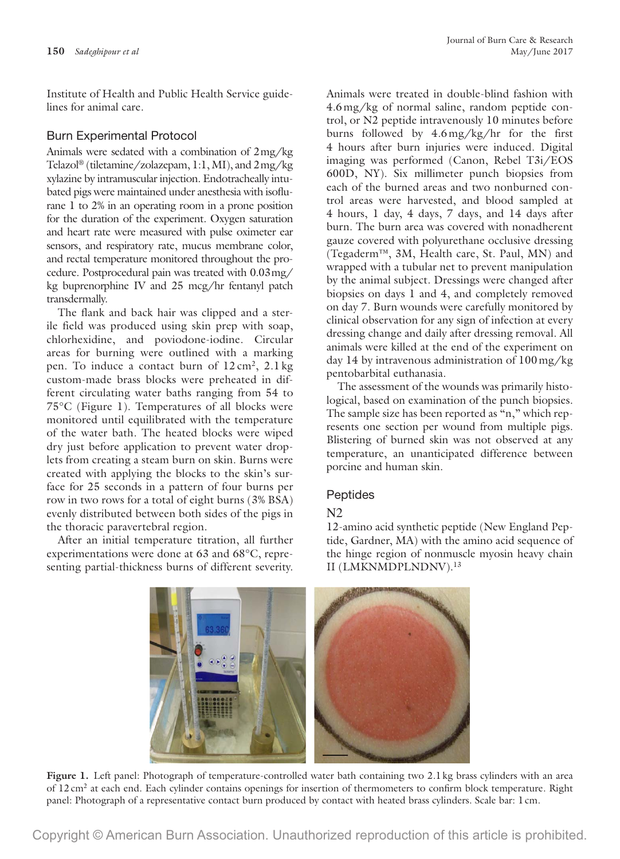Institute of Health and Public Health Service guidelines for animal care.

#### Burn Experimental Protocol

Animals were sedated with a combination of 2mg/kg Telazol® (tiletamine/zolazepam, 1:1, MI), and 2mg/kg xylazine by intramuscular injection. Endotracheally intubated pigs were maintained under anesthesia with isoflurane 1 to 2% in an operating room in a prone position for the duration of the experiment. Oxygen saturation and heart rate were measured with pulse oximeter ear sensors, and respiratory rate, mucus membrane color, and rectal temperature monitored throughout the procedure. Postprocedural pain was treated with 0.03mg/ kg buprenorphine IV and 25 mcg/hr fentanyl patch transdermally.

The flank and back hair was clipped and a sterile field was produced using skin prep with soap, chlorhexidine, and poviodone-iodine. Circular areas for burning were outlined with a marking pen. To induce a contact burn of  $12 \text{ cm}^2$ ,  $2.1 \text{ kg}$ custom-made brass blocks were preheated in different circulating water baths ranging from 54 to 75°C (Figure 1). Temperatures of all blocks were monitored until equilibrated with the temperature of the water bath. The heated blocks were wiped dry just before application to prevent water droplets from creating a steam burn on skin. Burns were created with applying the blocks to the skin's surface for 25 seconds in a pattern of four burns per row in two rows for a total of eight burns (3% BSA) evenly distributed between both sides of the pigs in the thoracic paravertebral region.

After an initial temperature titration, all further experimentations were done at 63 and 68°C, representing partial-thickness burns of different severity. Animals were treated in double-blind fashion with 4.6mg/kg of normal saline, random peptide control, or N2 peptide intravenously 10 minutes before burns followed by 4.6mg/kg/hr for the first 4 hours after burn injuries were induced. Digital imaging was performed (Canon, Rebel T3i/EOS 600D, NY). Six millimeter punch biopsies from each of the burned areas and two nonburned control areas were harvested, and blood sampled at 4 hours, 1 day, 4 days, 7 days, and 14 days after burn. The burn area was covered with nonadherent gauze covered with polyurethane occlusive dressing (Tegaderm™, 3M, Health care, St. Paul, MN) and wrapped with a tubular net to prevent manipulation by the animal subject. Dressings were changed after biopsies on days 1 and 4, and completely removed on day 7. Burn wounds were carefully monitored by clinical observation for any sign of infection at every dressing change and daily after dressing removal. All animals were killed at the end of the experiment on day 14 by intravenous administration of 100mg/kg pentobarbital euthanasia.

The assessment of the wounds was primarily histological, based on examination of the punch biopsies. The sample size has been reported as "n," which represents one section per wound from multiple pigs. Blistering of burned skin was not observed at any temperature, an unanticipated difference between porcine and human skin.

## Peptides

## N2

12-amino acid synthetic peptide (New England Peptide, Gardner, MA) with the amino acid sequence of the hinge region of nonmuscle myosin heavy chain II (LMKNMDPLNDNV).13

Figure 1. Left panel: Photograph of temperature-controlled water bath containing two 2.1 kg brass cylinders with an area of 12cm2 at each end. Each cylinder contains openings for insertion of thermometers to confirm block temperature. Right panel: Photograph of a representative contact burn produced by contact with heated brass cylinders. Scale bar: 1cm.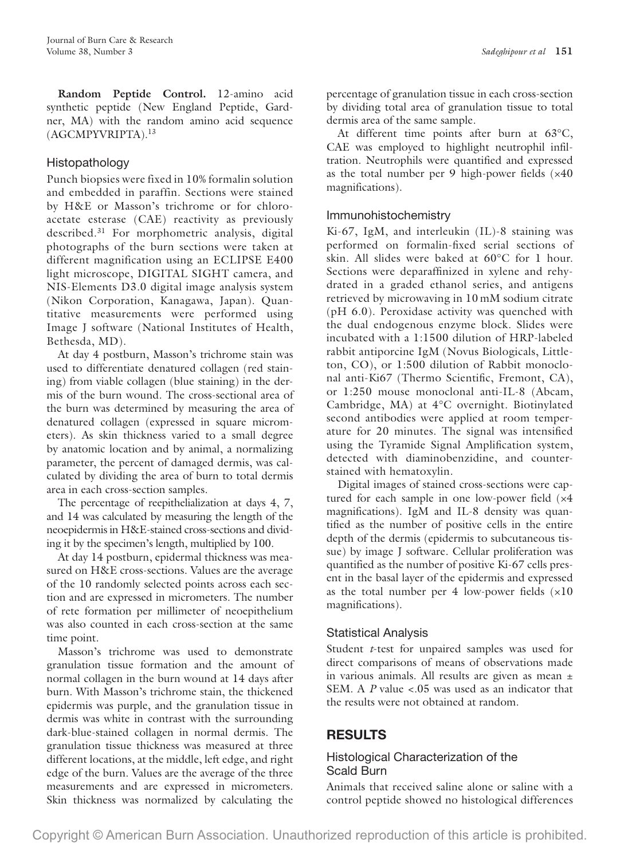**Random Peptide Control.** 12-amino acid synthetic peptide (New England Peptide, Gardner, MA) with the random amino acid sequence (AGCMPYVRIPTA).13

## Histopathology

Punch biopsies were fixed in 10% formalin solution and embedded in paraffin. Sections were stained by H&E or Masson's trichrome or for chloroacetate esterase (CAE) reactivity as previously described.31 For morphometric analysis, digital photographs of the burn sections were taken at different magnification using an ECLIPSE E400 light microscope, DIGITAL SIGHT camera, and NIS-Elements D3.0 digital image analysis system (Nikon Corporation, Kanagawa, Japan). Quantitative measurements were performed using Image J software (National Institutes of Health, Bethesda, MD).

At day 4 postburn, Masson's trichrome stain was used to differentiate denatured collagen (red staining) from viable collagen (blue staining) in the dermis of the burn wound. The cross-sectional area of the burn was determined by measuring the area of denatured collagen (expressed in square micrometers). As skin thickness varied to a small degree by anatomic location and by animal, a normalizing parameter, the percent of damaged dermis, was calculated by dividing the area of burn to total dermis area in each cross-section samples.

The percentage of reepithelialization at days 4, 7, and 14 was calculated by measuring the length of the neoepidermis in H&E-stained cross-sections and dividing it by the specimen's length, multiplied by 100.

At day 14 postburn, epidermal thickness was measured on H&E cross-sections. Values are the average of the 10 randomly selected points across each section and are expressed in micrometers. The number of rete formation per millimeter of neoepithelium was also counted in each cross-section at the same time point.

Masson's trichrome was used to demonstrate granulation tissue formation and the amount of normal collagen in the burn wound at 14 days after burn. With Masson's trichrome stain, the thickened epidermis was purple, and the granulation tissue in dermis was white in contrast with the surrounding dark-blue-stained collagen in normal dermis. The granulation tissue thickness was measured at three different locations, at the middle, left edge, and right edge of the burn. Values are the average of the three measurements and are expressed in micrometers. Skin thickness was normalized by calculating the

percentage of granulation tissue in each cross-section by dividing total area of granulation tissue to total dermis area of the same sample.

At different time points after burn at 63°C, CAE was employed to highlight neutrophil infiltration. Neutrophils were quantified and expressed as the total number per 9 high-power fields (×40 magnifications).

## Immunohistochemistry

Ki-67, IgM, and interleukin (IL)-8 staining was performed on formalin-fixed serial sections of skin. All slides were baked at 60°C for 1 hour. Sections were deparaffinized in xylene and rehydrated in a graded ethanol series, and antigens retrieved by microwaving in 10 mM sodium citrate (pH 6.0). Peroxidase activity was quenched with the dual endogenous enzyme block. Slides were incubated with a 1:1500 dilution of HRP-labeled rabbit antiporcine IgM (Novus Biologicals, Littleton, CO), or 1:500 dilution of Rabbit monoclonal anti-Ki67 (Thermo Scientific, Fremont, CA), or 1:250 mouse monoclonal anti-IL-8 (Abcam, Cambridge, MA) at 4°C overnight. Biotinylated second antibodies were applied at room temperature for 20 minutes. The signal was intensified using the Tyramide Signal Amplification system, detected with diaminobenzidine, and counterstained with hematoxylin.

Digital images of stained cross-sections were captured for each sample in one low-power field (×4 magnifications). IgM and IL-8 density was quantified as the number of positive cells in the entire depth of the dermis (epidermis to subcutaneous tissue) by image J software. Cellular proliferation was quantified as the number of positive Ki-67 cells present in the basal layer of the epidermis and expressed as the total number per 4 low-power fields  $(x10)$ magnifications).

## Statistical Analysis

Student *t*-test for unpaired samples was used for direct comparisons of means of observations made in various animals. All results are given as mean ± SEM. A *P* value <.05 was used as an indicator that the results were not obtained at random.

# **RESULTS**

## Histological Characterization of the Scald Burn

Animals that received saline alone or saline with a control peptide showed no histological differences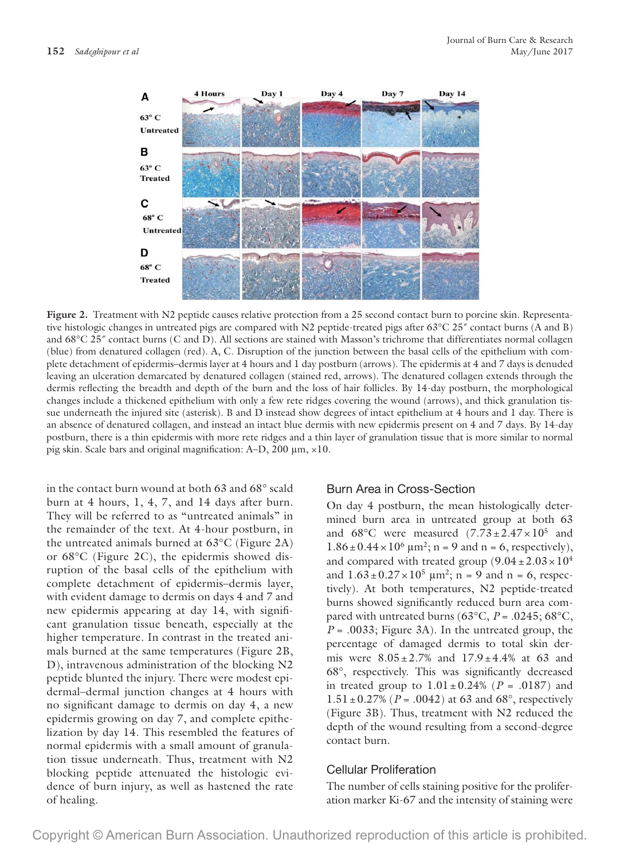

Figure 2. Treatment with N2 peptide causes relative protection from a 25 second contact burn to porcine skin. Representative histologic changes in untreated pigs are compared with N2 peptide-treated pigs after 63°C 25<sup>*\**</sup> contact burns (A and B) and  $68^{\circ}$ C 25 $^{\prime\prime}$  contact burns (C and D). All sections are stained with Masson's trichrome that differentiates normal collagen (blue) from denatured collagen (red). A, C. Disruption of the junction between the basal cells of the epithelium with complete detachment of epidermis–dermis layer at 4 hours and 1 day postburn (arrows). The epidermis at 4 and 7 days is denuded leaving an ulceration demarcated by denatured collagen (stained red, arrows). The denatured collagen extends through the dermis reflecting the breadth and depth of the burn and the loss of hair follicles. By 14-day postburn, the morphological changes include a thickened epithelium with only a few rete ridges covering the wound (arrows), and thick granulation tissue underneath the injured site (asterisk). B and D instead show degrees of intact epithelium at 4 hours and 1 day. There is an absence of denatured collagen, and instead an intact blue dermis with new epidermis present on 4 and 7 days. By 14-day postburn, there is a thin epidermis with more rete ridges and a thin layer of granulation tissue that is more similar to normal pig skin. Scale bars and original magnification: A–D, 200 μm, ×10.

in the contact burn wound at both 63 and 68° scald burn at 4 hours, 1, 4, 7, and 14 days after burn. They will be referred to as "untreated animals" in the remainder of the text. At 4-hour postburn, in the untreated animals burned at 63°C (Figure 2A) or 68°C (Figure 2C), the epidermis showed disruption of the basal cells of the epithelium with complete detachment of epidermis–dermis layer, with evident damage to dermis on days 4 and 7 and new epidermis appearing at day 14, with significant granulation tissue beneath, especially at the higher temperature. In contrast in the treated animals burned at the same temperatures (Figure 2B, D), intravenous administration of the blocking N2 peptide blunted the injury. There were modest epidermal–dermal junction changes at 4 hours with no significant damage to dermis on day 4, a new epidermis growing on day 7, and complete epithelization by day 14. This resembled the features of normal epidermis with a small amount of granulation tissue underneath. Thus, treatment with N2 blocking peptide attenuated the histologic evidence of burn injury, as well as hastened the rate of healing.

#### Burn Area in Cross-Section

On day 4 postburn, the mean histologically determined burn area in untreated group at both 63 and  $68^{\circ}$ C were measured  $(7.73 \pm 2.47 \times 10^5)$  and  $1.86 \pm 0.44 \times 10^6 \,\mathrm{\upmu m^2}$ ; n = 9 and n = 6, respectively), and compared with treated group  $(9.04 \pm 2.03 \times 10^4$ and  $1.63 \pm 0.27 \times 10^5$   $\mu$ m<sup>2</sup>; n = 9 and n = 6, respectively). At both temperatures, N2 peptide-treated burns showed significantly reduced burn area compared with untreated burns ( $63^{\circ}$ C,  $P = .0245$ ;  $68^{\circ}$ C,  $P = .0033$ ; Figure 3A). In the untreated group, the percentage of damaged dermis to total skin dermis were  $8.05 \pm 2.7\%$  and  $17.9 \pm 4.4\%$  at 63 and 68°, respectively. This was significantly decreased in treated group to  $1.01 \pm 0.24\%$  (*P* = .0187) and  $1.51 \pm 0.27\%$  (*P* = .0042) at 63 and 68°, respectively (Figure 3B). Thus, treatment with N2 reduced the depth of the wound resulting from a second-degree contact burn.

#### Cellular Proliferation

The number of cells staining positive for the proliferation marker Ki-67 and the intensity of staining were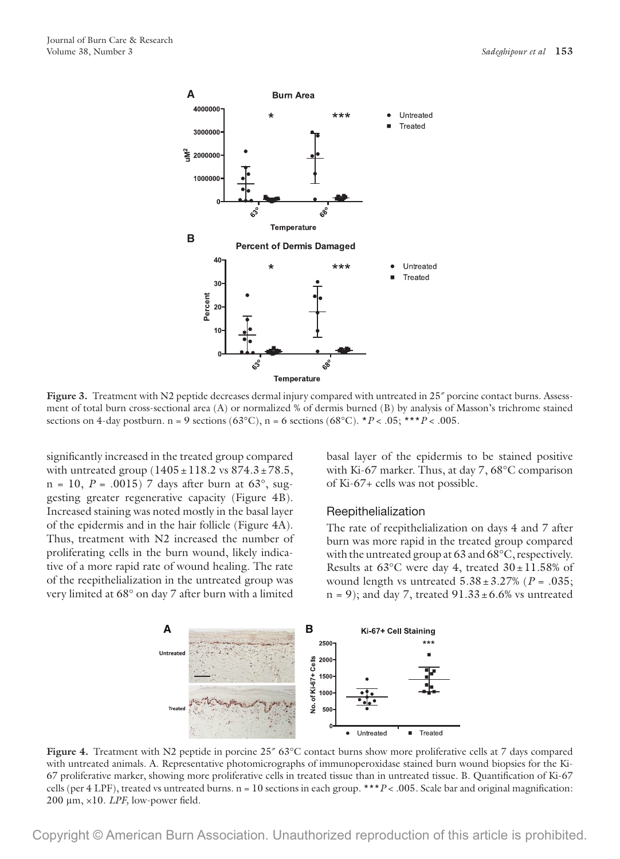

**Figure 3.** Treatment with N2 peptide decreases dermal injury compared with untreated in 25<sup>*\**</sup> porcine contact burns. Assessment of total burn cross-sectional area (A) or normalized % of dermis burned (B) by analysis of Masson's trichrome stained sections on 4-day postburn. n = 9 sections (63°C), n = 6 sections (68°C). \**P* < .05; \*\*\**P* < .005.

significantly increased in the treated group compared with untreated group  $(1405 \pm 118.2 \text{ vs } 874.3 \pm 78.5,$ n = 10,  $P = .0015$ ) 7 days after burn at 63°, suggesting greater regenerative capacity (Figure 4B). Increased staining was noted mostly in the basal layer of the epidermis and in the hair follicle (Figure 4A). Thus, treatment with N2 increased the number of proliferating cells in the burn wound, likely indicative of a more rapid rate of wound healing. The rate of the reepithelialization in the untreated group was very limited at 68° on day 7 after burn with a limited

basal layer of the epidermis to be stained positive with Ki-67 marker. Thus, at day 7, 68°C comparison of Ki-67+ cells was not possible.

#### Reepithelialization

The rate of reepithelialization on days 4 and 7 after burn was more rapid in the treated group compared with the untreated group at 63 and 68°C, respectively. Results at  $63^{\circ}$ C were day 4, treated  $30 \pm 11.58\%$  of wound length vs untreated  $5.38 \pm 3.27\%$  ( $P = .035$ ;  $n = 9$ ; and day 7, treated  $91.33 \pm 6.6\%$  vs untreated



Figure 4. Treatment with N2 peptide in porcine  $25''$  63°C contact burns show more proliferative cells at 7 days compared with untreated animals. A. Representative photomicrographs of immunoperoxidase stained burn wound biopsies for the Ki-67 proliferative marker, showing more proliferative cells in treated tissue than in untreated tissue. B. Quantification of Ki-67 cells (per 4 LPF), treated vs untreated burns. n = 10 sections in each group. \*\*\**P* < .005. Scale bar and original magnification: 200 μm, ×10. *LPF,* low-power field.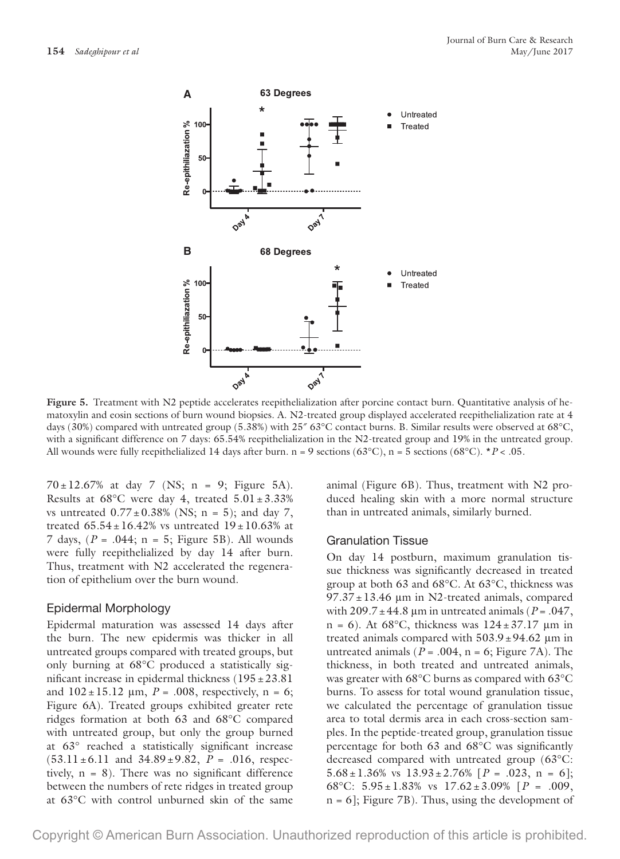

**Figure 5.** Treatment with N2 peptide accelerates reepithelialization after porcine contact burn. Quantitative analysis of hematoxylin and eosin sections of burn wound biopsies. A. N2-treated group displayed accelerated reepithelialization rate at 4 days (30%) compared with untreated group (5.38%) with 25 $^{\circ}$  63°C contact burns. B. Similar results were observed at 68°C, with a significant difference on 7 days: 65.54% reepithelialization in the N2-treated group and 19% in the untreated group. All wounds were fully reepithelialized 14 days after burn.  $n = 9$  sections (63°C),  $n = 5$  sections (68°C).  $*P < .05$ .

 $70 \pm 12.67\%$  at day 7 (NS; n = 9; Figure 5A). Results at  $68^{\circ}$ C were day 4, treated  $5.01 \pm 3.33\%$ vs untreated  $0.77 \pm 0.38\%$  (NS; n = 5); and day 7, treated  $65.54 \pm 16.42\%$  vs untreated  $19 \pm 10.63\%$  at 7 days, (*P* = .044; n = 5; Figure 5B). All wounds were fully reepithelialized by day 14 after burn. Thus, treatment with N2 accelerated the regeneration of epithelium over the burn wound.

#### Epidermal Morphology

Epidermal maturation was assessed 14 days after the burn. The new epidermis was thicker in all untreated groups compared with treated groups, but only burning at 68°C produced a statistically significant increase in epidermal thickness  $(195 \pm 23.81)$ and  $102 \pm 15.12$   $\mu$ m,  $P = .008$ , respectively, n = 6; Figure 6A). Treated groups exhibited greater rete ridges formation at both 63 and 68°C compared with untreated group, but only the group burned at 63° reached a statistically significant increase  $(53.11 \pm 6.11$  and  $34.89 \pm 9.82$ ,  $P = .016$ , respectively,  $n = 8$ ). There was no significant difference between the numbers of rete ridges in treated group at 63°C with control unburned skin of the same animal (Figure 6B). Thus, treatment with N2 produced healing skin with a more normal structure than in untreated animals, similarly burned.

#### Granulation Tissue

On day 14 postburn, maximum granulation tissue thickness was significantly decreased in treated group at both 63 and 68°C. At 63°C, thickness was  $97.37 \pm 13.46$  µm in N2-treated animals, compared with  $209.7 \pm 44.8$  µm in untreated animals ( $P = .047$ ,  $n = 6$ ). At 68°C, thickness was  $124 \pm 37.17$  µm in treated animals compared with  $503.9 \pm 94.62$  µm in untreated animals ( $P = .004$ ,  $n = 6$ ; Figure 7A). The thickness, in both treated and untreated animals, was greater with 68°C burns as compared with 63°C burns. To assess for total wound granulation tissue, we calculated the percentage of granulation tissue area to total dermis area in each cross-section samples. In the peptide-treated group, granulation tissue percentage for both 63 and 68°C was significantly decreased compared with untreated group (63°C: 5.68 $\pm$ 1.36% vs 13.93 $\pm$ 2.76% [*P* = .023, n = 6]; 68°C:  $5.95 \pm 1.83\%$  vs  $17.62 \pm 3.09\%$  [ $P = .009$ , n = 6]; Figure 7B). Thus, using the development of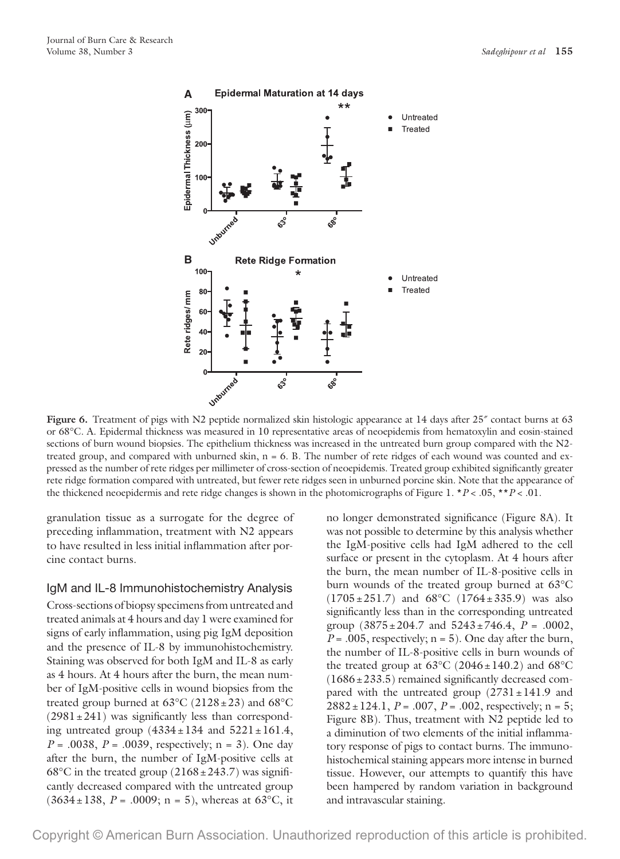

Figure 6. Treatment of pigs with N2 peptide normalized skin histologic appearance at 14 days after 25<sup>*r*</sup> contact burns at 63 or 68°C. A. Epidermal thickness was measured in 10 representative areas of neoepidemis from hematoxylin and eosin-stained sections of burn wound biopsies. The epithelium thickness was increased in the untreated burn group compared with the N2 treated group, and compared with unburned skin,  $n = 6$ . B. The number of rete ridges of each wound was counted and expressed as the number of rete ridges per millimeter of cross-section of neoepidemis. Treated group exhibited significantly greater rete ridge formation compared with untreated, but fewer rete ridges seen in unburned porcine skin. Note that the appearance of the thickened neoepidermis and rete ridge changes is shown in the photomicrographs of Figure 1. \**P* < .05, \*\**P* < .01.

granulation tissue as a surrogate for the degree of preceding inflammation, treatment with N2 appears to have resulted in less initial inflammation after porcine contact burns.

IgM and IL-8 Immunohistochemistry Analysis Cross-sections of biopsy specimens from untreated and treated animals at 4 hours and day 1 were examined for signs of early inflammation, using pig IgM deposition and the presence of IL-8 by immunohistochemistry. Staining was observed for both IgM and IL-8 as early as 4 hours. At 4 hours after the burn, the mean number of IgM-positive cells in wound biopsies from the treated group burned at  $63^{\circ}$ C (2128 ± 23) and  $68^{\circ}$ C  $(2981 \pm 241)$  was significantly less than corresponding untreated group  $(4334 \pm 134 \text{ and } 5221 \pm 161.4,$ *P* = .0038, *P* = .0039, respectively; n = 3). One day after the burn, the number of IgM-positive cells at 68°C in the treated group  $(2168 \pm 243.7)$  was significantly decreased compared with the untreated group  $(3634 \pm 138, P = .0009; n = 5)$ , whereas at 63<sup>o</sup>C, it

no longer demonstrated significance (Figure 8A). It was not possible to determine by this analysis whether the IgM-positive cells had IgM adhered to the cell surface or present in the cytoplasm. At 4 hours after the burn, the mean number of IL-8-positive cells in burn wounds of the treated group burned at 63°C  $(1705 \pm 251.7)$  and  $68^{\circ}$ C  $(1764 \pm 335.9)$  was also significantly less than in the corresponding untreated group  $(3875 \pm 204.7 \text{ and } 5243 \pm 746.4, P = .0002,$  $P = .005$ , respectively;  $n = 5$ ). One day after the burn, the number of IL-8-positive cells in burn wounds of the treated group at  $63^{\circ}$ C (2046±140.2) and  $68^{\circ}$ C  $(1686 \pm 233.5)$  remained significantly decreased compared with the untreated group  $(2731 \pm 141.9)$  and  $2882 \pm 124.1$ ,  $P = .007$ ,  $P = .002$ , respectively; n = 5; Figure 8B). Thus, treatment with N2 peptide led to a diminution of two elements of the initial inflammatory response of pigs to contact burns. The immunohistochemical staining appears more intense in burned tissue. However, our attempts to quantify this have been hampered by random variation in background and intravascular staining.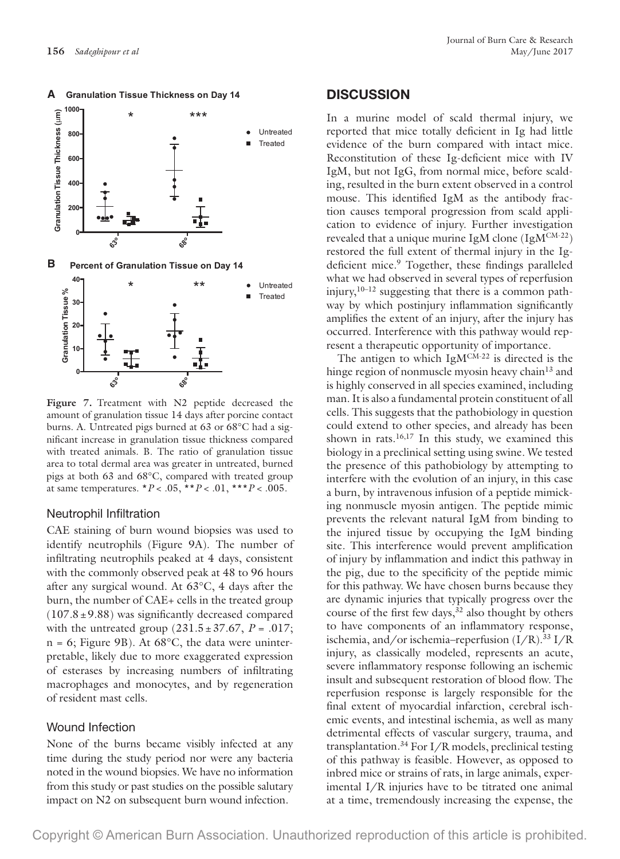

**A Granulation Tissue Thickness on Day 14**

**B Percent of Granulation Tissue on Day 14**



**Figure 7.** Treatment with N2 peptide decreased the amount of granulation tissue 14 days after porcine contact burns. A. Untreated pigs burned at 63 or 68°C had a significant increase in granulation tissue thickness compared with treated animals. B. The ratio of granulation tissue area to total dermal area was greater in untreated, burned pigs at both 63 and 68°C, compared with treated group at same temperatures. \**P* < .05, \*\**P* < .01, \*\*\**P* < .005.

#### Neutrophil Infiltration

CAE staining of burn wound biopsies was used to identify neutrophils (Figure 9A). The number of infiltrating neutrophils peaked at 4 days, consistent with the commonly observed peak at 48 to 96 hours after any surgical wound. At 63°C, 4 days after the burn, the number of CAE+ cells in the treated group  $(107.8 \pm 9.88)$  was significantly decreased compared with the untreated group  $(231.5 \pm 37.67, P = .017;$  $n = 6$ ; Figure 9B). At  $68^{\circ}$ C, the data were uninterpretable, likely due to more exaggerated expression of esterases by increasing numbers of infiltrating macrophages and monocytes, and by regeneration of resident mast cells.

#### Wound Infection

None of the burns became visibly infected at any time during the study period nor were any bacteria noted in the wound biopsies. We have no information from this study or past studies on the possible salutary impact on N2 on subsequent burn wound infection.

#### **DISCUSSION**

In a murine model of scald thermal injury, we reported that mice totally deficient in Ig had little evidence of the burn compared with intact mice. Reconstitution of these Ig-deficient mice with IV IgM, but not IgG, from normal mice, before scalding, resulted in the burn extent observed in a control mouse. This identified IgM as the antibody fraction causes temporal progression from scald application to evidence of injury. Further investigation revealed that a unique murine IgM clone  $(IgM^{CM-22})$ restored the full extent of thermal injury in the Igdeficient mice.<sup>9</sup> Together, these findings paralleled what we had observed in several types of reperfusion injury,  $10-12$  suggesting that there is a common pathway by which postinjury inflammation significantly amplifies the extent of an injury, after the injury has occurred. Interference with this pathway would represent a therapeutic opportunity of importance.

The antigen to which  $IgM^{CM-22}$  is directed is the hinge region of nonmuscle myosin heavy chain<sup>13</sup> and is highly conserved in all species examined, including man. It is also a fundamental protein constituent of all cells. This suggests that the pathobiology in question could extend to other species, and already has been shown in rats. $16,17$  In this study, we examined this biology in a preclinical setting using swine. We tested the presence of this pathobiology by attempting to interfere with the evolution of an injury, in this case a burn, by intravenous infusion of a peptide mimicking nonmuscle myosin antigen. The peptide mimic prevents the relevant natural IgM from binding to the injured tissue by occupying the IgM binding site. This interference would prevent amplification of injury by inflammation and indict this pathway in the pig, due to the specificity of the peptide mimic for this pathway. We have chosen burns because they are dynamic injuries that typically progress over the course of the first few days,  $32$  also thought by others to have components of an inflammatory response, ischemia, and/or ischemia–reperfusion (I/R).33 I/R injury, as classically modeled, represents an acute, severe inflammatory response following an ischemic insult and subsequent restoration of blood flow. The reperfusion response is largely responsible for the final extent of myocardial infarction, cerebral ischemic events, and intestinal ischemia, as well as many detrimental effects of vascular surgery, trauma, and transplantation.34 For I/R models, preclinical testing of this pathway is feasible. However, as opposed to inbred mice or strains of rats, in large animals, experimental I/R injuries have to be titrated one animal at a time, tremendously increasing the expense, the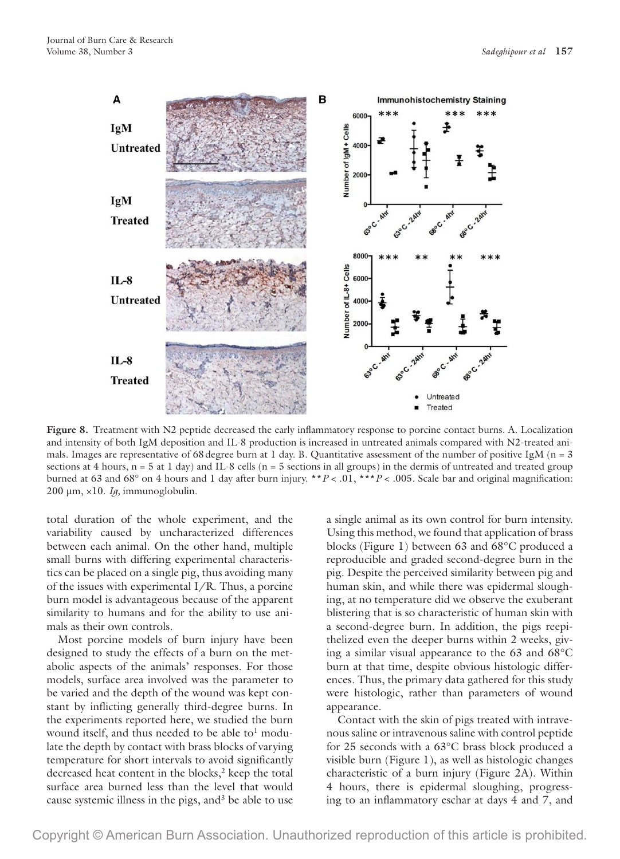

Figure 8. Treatment with N2 peptide decreased the early inflammatory response to porcine contact burns. A. Localization and intensity of both IgM deposition and IL-8 production is increased in untreated animals compared with N2-treated animals. Images are representative of 68 degree burn at 1 day. B. Quantitative assessment of the number of positive IgM ( $n = 3$ ) sections at 4 hours, n = 5 at 1 day) and IL-8 cells (n = 5 sections in all groups) in the dermis of untreated and treated group burned at 63 and 68° on 4 hours and 1 day after burn injury. \*\**P* < .01, \*\*\**P* < .005. Scale bar and original magnification: 200 μm, ×10. *Ig,* immunoglobulin.

total duration of the whole experiment, and the variability caused by uncharacterized differences between each animal. On the other hand, multiple small burns with differing experimental characteristics can be placed on a single pig, thus avoiding many of the issues with experimental I/R. Thus, a porcine burn model is advantageous because of the apparent similarity to humans and for the ability to use animals as their own controls.

Most porcine models of burn injury have been designed to study the effects of a burn on the metabolic aspects of the animals' responses. For those models, surface area involved was the parameter to be varied and the depth of the wound was kept constant by inflicting generally third-degree burns. In the experiments reported here, we studied the burn wound itself, and thus needed to be able to<sup>1</sup> modulate the depth by contact with brass blocks of varying temperature for short intervals to avoid significantly decreased heat content in the blocks, $2$  keep the total surface area burned less than the level that would cause systemic illness in the pigs, and  $3$  be able to use

a single animal as its own control for burn intensity. Using this method, we found that application of brass blocks (Figure 1) between 63 and 68°C produced a reproducible and graded second-degree burn in the pig. Despite the perceived similarity between pig and human skin, and while there was epidermal sloughing, at no temperature did we observe the exuberant blistering that is so characteristic of human skin with a second-degree burn. In addition, the pigs reepithelized even the deeper burns within 2 weeks, giving a similar visual appearance to the 63 and 68°C burn at that time, despite obvious histologic differences. Thus, the primary data gathered for this study were histologic, rather than parameters of wound appearance.

Contact with the skin of pigs treated with intravenous saline or intravenous saline with control peptide for 25 seconds with a 63°C brass block produced a visible burn (Figure 1), as well as histologic changes characteristic of a burn injury (Figure 2A). Within 4 hours, there is epidermal sloughing, progressing to an inflammatory eschar at days 4 and 7, and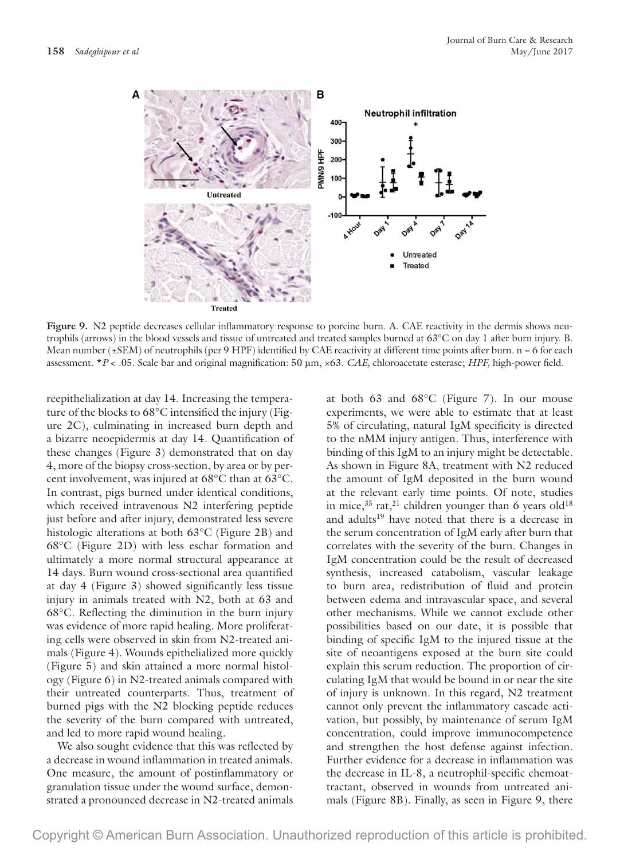

Figure 9. N2 peptide decreases cellular inflammatory response to porcine burn. A. CAE reactivity in the dermis shows neutrophils (arrows) in the blood vessels and tissue of untreated and treated samples burned at 63°C on day 1 after burn injury. B. Mean number ( $\pm$ SEM) of neutrophils (per 9 HPF) identified by CAE reactivity at different time points after burn.  $n = 6$  for each assessment. \**P* < .05. Scale bar and original magnification: 50 μm, ×63. *CAE,* chloroacetate esterase; *HPF,* high-power field.

reepithelialization at day 14. Increasing the temperature of the blocks to 68°C intensified the injury (Figure 2C), culminating in increased burn depth and a bizarre neoepidermis at day 14. Quantification of these changes (Figure 3) demonstrated that on day 4, more of the biopsy cross-section, by area or by percent involvement, was injured at 68°C than at 63°C. In contrast, pigs burned under identical conditions, which received intravenous N2 interfering peptide just before and after injury, demonstrated less severe histologic alterations at both 63°C (Figure 2B) and 68°C (Figure 2D) with less eschar formation and ultimately a more normal structural appearance at 14 days. Burn wound cross-sectional area quantified at day 4 (Figure 3) showed significantly less tissue injury in animals treated with N2, both at 63 and 68°C. Reflecting the diminution in the burn injury was evidence of more rapid healing. More proliferating cells were observed in skin from N2-treated animals (Figure 4). Wounds epithelialized more quickly (Figure 5) and skin attained a more normal histology (Figure 6) in N2-treated animals compared with their untreated counterparts. Thus, treatment of burned pigs with the N2 blocking peptide reduces the severity of the burn compared with untreated, and led to more rapid wound healing.

We also sought evidence that this was reflected by a decrease in wound inflammation in treated animals. One measure, the amount of postinflammatory or granulation tissue under the wound surface, demonstrated a pronounced decrease in N2-treated animals

at both 63 and 68°C (Figure 7). In our mouse experiments, we were able to estimate that at least 5% of circulating, natural IgM specificity is directed to the nMM injury antigen. Thus, interference with binding of this IgM to an injury might be detectable. As shown in Figure 8A, treatment with N2 reduced the amount of IgM deposited in the burn wound at the relevant early time points. Of note, studies in mice,<sup>35</sup> rat,<sup>21</sup> children younger than 6 years old<sup>18</sup> and adults<sup>19</sup> have noted that there is a decrease in the serum concentration of IgM early after burn that correlates with the severity of the burn. Changes in IgM concentration could be the result of decreased synthesis, increased catabolism, vascular leakage to burn area, redistribution of fluid and protein between edema and intravascular space, and several other mechanisms. While we cannot exclude other possibilities based on our date, it is possible that binding of specific IgM to the injured tissue at the site of neoantigens exposed at the burn site could explain this serum reduction. The proportion of circulating IgM that would be bound in or near the site of injury is unknown. In this regard, N2 treatment cannot only prevent the inflammatory cascade activation, but possibly, by maintenance of serum IgM concentration, could improve immunocompetence and strengthen the host defense against infection. Further evidence for a decrease in inflammation was the decrease in IL-8, a neutrophil-specific chemoattractant, observed in wounds from untreated animals (Figure 8B). Finally, as seen in Figure 9, there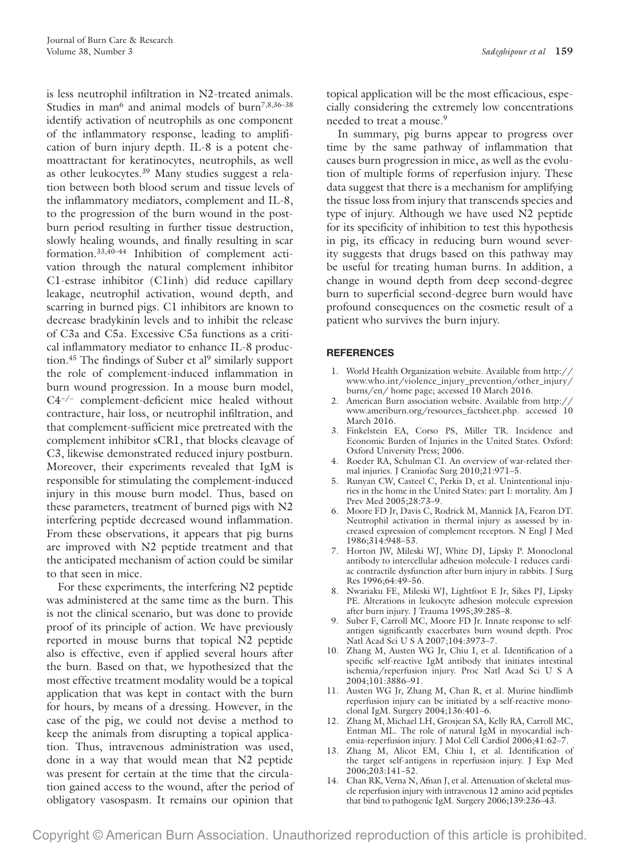is less neutrophil infiltration in N2-treated animals. Studies in man<sup>6</sup> and animal models of burn<sup>7,8,36-38</sup> identify activation of neutrophils as one component of the inflammatory response, leading to amplification of burn injury depth. IL-8 is a potent chemoattractant for keratinocytes, neutrophils, as well as other leukocytes.39 Many studies suggest a relation between both blood serum and tissue levels of the inflammatory mediators, complement and IL-8, to the progression of the burn wound in the postburn period resulting in further tissue destruction, slowly healing wounds, and finally resulting in scar formation.33,40–44 Inhibition of complement activation through the natural complement inhibitor C1-estrase inhibitor (C1inh) did reduce capillary leakage, neutrophil activation, wound depth, and scarring in burned pigs. C1 inhibitors are known to decrease bradykinin levels and to inhibit the release of C3a and C5a. Excessive C5a functions as a critical inflammatory mediator to enhance IL-8 production. $45$  The findings of Suber et al<sup>9</sup> similarly support the role of complement-induced inflammation in burn wound progression. In a mouse burn model, C4−/− complement-deficient mice healed without contracture, hair loss, or neutrophil infiltration, and that complement-sufficient mice pretreated with the complement inhibitor sCR1, that blocks cleavage of C3, likewise demonstrated reduced injury postburn. Moreover, their experiments revealed that IgM is responsible for stimulating the complement-induced injury in this mouse burn model. Thus, based on these parameters, treatment of burned pigs with N2 interfering peptide decreased wound inflammation. From these observations, it appears that pig burns are improved with N2 peptide treatment and that the anticipated mechanism of action could be similar to that seen in mice.

For these experiments, the interfering N2 peptide was administered at the same time as the burn. This is not the clinical scenario, but was done to provide proof of its principle of action. We have previously reported in mouse burns that topical N2 peptide also is effective, even if applied several hours after the burn. Based on that, we hypothesized that the most effective treatment modality would be a topical application that was kept in contact with the burn for hours, by means of a dressing. However, in the case of the pig, we could not devise a method to keep the animals from disrupting a topical application. Thus, intravenous administration was used, done in a way that would mean that N2 peptide was present for certain at the time that the circulation gained access to the wound, after the period of obligatory vasospasm. It remains our opinion that

topical application will be the most efficacious, especially considering the extremely low concentrations needed to treat a mouse.<sup>9</sup>

In summary, pig burns appear to progress over time by the same pathway of inflammation that causes burn progression in mice, as well as the evolution of multiple forms of reperfusion injury. These data suggest that there is a mechanism for amplifying the tissue loss from injury that transcends species and type of injury. Although we have used N2 peptide for its specificity of inhibition to test this hypothesis in pig, its efficacy in reducing burn wound severity suggests that drugs based on this pathway may be useful for treating human burns. In addition, a change in wound depth from deep second-degree burn to superficial second-degree burn would have profound consequences on the cosmetic result of a patient who survives the burn injury.

#### **REFERENCES**

- 1. World Health Organization website. Available from [http://](http://www.who.int/violence_injury_prevention/other_injury/burns/en/ home page) [www.who.int/violence\\_injury\\_prevention/other\\_injury/](http://www.who.int/violence_injury_prevention/other_injury/burns/en/ home page) [burns/en/ home page](http://www.who.int/violence_injury_prevention/other_injury/burns/en/ home page); accessed 10 March 2016.
- 2. American Burn association website. Available from [http://](http://www.ameriburn.org/resources_factsheet.php) [www.ameriburn.org/resources\\_factsheet.php.](http://www.ameriburn.org/resources_factsheet.php) accessed 10 March 2016.
- 3. Finkelstein EA, Corso PS, Miller TR. Incidence and Economic Burden of Injuries in the United States. Oxford: Oxford University Press; 2006.
- 4. Roeder RA, Schulman CI. An overview of war-related thermal injuries. J Craniofac Surg 2010;21:971–5.
- 5. Runyan CW, Casteel C, Perkis D, et al. Unintentional injuries in the home in the United States: part I: mortality. Am J Prev Med 2005;28:73–9.
- 6. Moore FD Jr, Davis C, Rodrick M, Mannick JA, Fearon DT. Neutrophil activation in thermal injury as assessed by increased expression of complement receptors. N Engl J Med 1986;314:948–53.
- 7. Horton JW, Mileski WJ, White DJ, Lipsky P. Monoclonal antibody to intercellular adhesion molecule-1 reduces cardiac contractile dysfunction after burn injury in rabbits. J Surg Res 1996;64:49–56.
- 8. Nwariaku FE, Mileski WJ, Lightfoot E Jr, Sikes PJ, Lipsky PE. Alterations in leukocyte adhesion molecule expression after burn injury. J Trauma 1995;39:285–8.
- 9. Suber F, Carroll MC, Moore FD Jr. Innate response to selfantigen significantly exacerbates burn wound depth. Proc Natl Acad Sci U S A 2007;104:3973–7.
- 10. Zhang M, Austen WG Jr, Chiu I, et al. Identification of a specific self-reactive IgM antibody that initiates intestinal ischemia/reperfusion injury. Proc Natl Acad Sci U S A 2004;101:3886–91.
- 11. Austen WG Jr, Zhang M, Chan R, et al. Murine hindlimb reperfusion injury can be initiated by a self-reactive monoclonal IgM. Surgery 2004;136:401–6.
- 12. Zhang M, Michael LH, Grosjean SA, Kelly RA, Carroll MC, Entman ML. The role of natural IgM in myocardial ischemia-reperfusion injury. J Mol Cell Cardiol 2006;41:62–7.
- 13. Zhang M, Alicot EM, Chiu I, et al. Identification of the target self-antigens in reperfusion injury. J Exp Med 2006;203:141–52.
- 14. Chan RK, Verna N, Afnan J, et al. Attenuation of skeletal muscle reperfusion injury with intravenous 12 amino acid peptides that bind to pathogenic IgM. Surgery 2006;139:236–43.